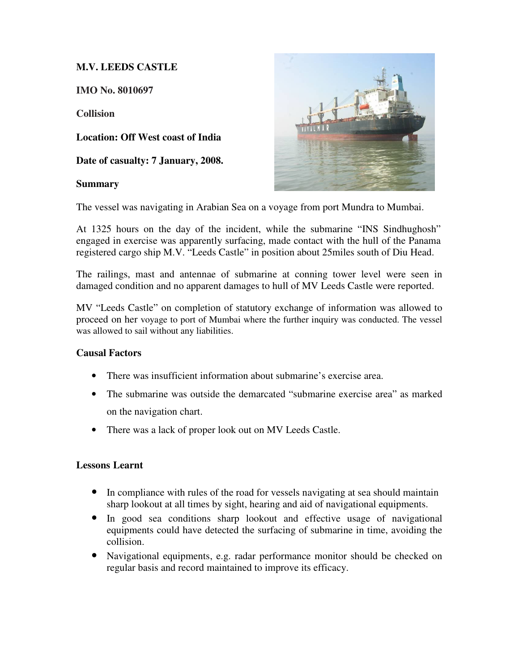## **M.V. LEEDS CASTLE**

**IMO No. 8010697** 

**Collision** 

**Location: Off West coast of India** 

**Date of casualty: 7 January, 2008.** 

## **Summary**



The vessel was navigating in Arabian Sea on a voyage from port Mundra to Mumbai.

At 1325 hours on the day of the incident, while the submarine "INS Sindhughosh" engaged in exercise was apparently surfacing, made contact with the hull of the Panama registered cargo ship M.V. "Leeds Castle" in position about 25miles south of Diu Head.

The railings, mast and antennae of submarine at conning tower level were seen in damaged condition and no apparent damages to hull of MV Leeds Castle were reported.

MV "Leeds Castle" on completion of statutory exchange of information was allowed to proceed on her voyage to port of Mumbai where the further inquiry was conducted. The vessel was allowed to sail without any liabilities.

## **Causal Factors**

- There was insufficient information about submarine's exercise area.
- The submarine was outside the demarcated "submarine exercise area" as marked on the navigation chart.
- There was a lack of proper look out on MV Leeds Castle.

## **Lessons Learnt**

- In compliance with rules of the road for vessels navigating at sea should maintain sharp lookout at all times by sight, hearing and aid of navigational equipments.
- In good sea conditions sharp lookout and effective usage of navigational equipments could have detected the surfacing of submarine in time, avoiding the collision.
- Navigational equipments, e.g. radar performance monitor should be checked on regular basis and record maintained to improve its efficacy.